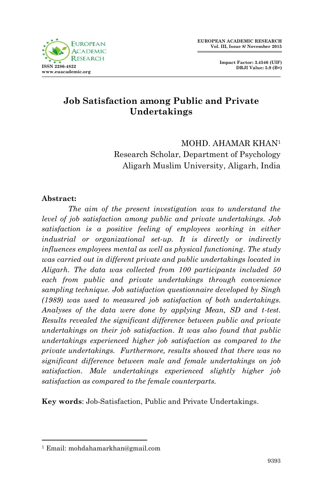

# **Job Satisfaction among Public and Private Undertakings**

MOHD. AHAMAR KHAN<sup>1</sup> Research Scholar, Department of Psychology Aligarh Muslim University, Aligarh, India

#### **Abstract:**

*The aim of the present investigation was to understand the level of job satisfaction among public and private undertakings. Job*  satisfaction is a positive feeling of employees working in either *industrial or organizational set-up. It is directly or indirectly influences employees mental as well as physical functioning. The study was carried out in different private and public undertakings located in Aligarh. The data was collected from 100 participants included 50 each from public and private undertakings through convenience sampling technique. Job satisfaction questionnaire developed by Singh (1989) was used to measured job satisfaction of both undertakings. Analyses of the data were done by applying Mean, SD and t-test. Results revealed the significant difference between public and private undertakings on their job satisfaction. It was also found that public undertakings experienced higher job satisfaction as compared to the private undertakings. Furthermore, results showed that there was no significant difference between male and female undertakings on job satisfaction. Male undertakings experienced slightly higher job satisfaction as compared to the female counterparts.* 

**Key words**: Job-Satisfaction, Public and Private Undertakings.

1

<sup>1</sup> Email: mohdahamarkhan@gmail.com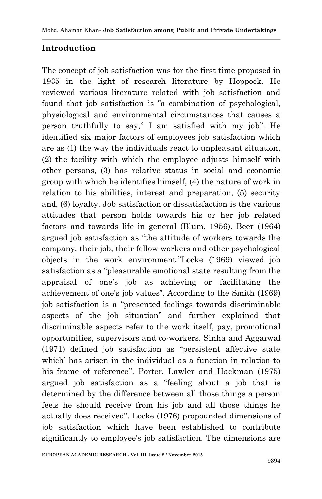### **Introduction**

The concept of job satisfaction was for the first time proposed in 1935 in the light of research literature by Hoppock. He reviewed various literature related with job satisfaction and found that job satisfaction is "a combination of psychological, physiological and environmental circumstances that causes a person truthfully to say," I am satisfied with my job". He identified six major factors of employees job satisfaction which are as (1) the way the individuals react to unpleasant situation, (2) the facility with which the employee adjusts himself with other persons, (3) has relative status in social and economic group with which he identifies himself, (4) the nature of work in relation to his abilities, interest and preparation, (5) security and, (6) loyalty. Job satisfaction or dissatisfaction is the various attitudes that person holds towards his or her job related factors and towards life in general (Blum, 1956). Beer (1964) argued job satisfaction as "the attitude of workers towards the company, their job, their fellow workers and other psychological objects in the work environment."Locke (1969) viewed job satisfaction as a "pleasurable emotional state resulting from the appraisal of one"s job as achieving or facilitating the achievement of one"s job values". According to the Smith (1969) job satisfaction is a "presented feelings towards discriminable aspects of the job situation" and further explained that discriminable aspects refer to the work itself, pay, promotional opportunities, supervisors and co-workers. Sinha and Aggarwal  $(1971)$  defined job satisfaction as "persistent affective state which' has arisen in the individual as a function in relation to his frame of reference". Porter, Lawler and Hackman (1975) argued job satisfaction as a "feeling about a job that is determined by the difference between all those things a person feels he should receive from his job and all those things he actually does received". Locke (1976) propounded dimensions of job satisfaction which have been established to contribute significantly to employee's job satisfaction. The dimensions are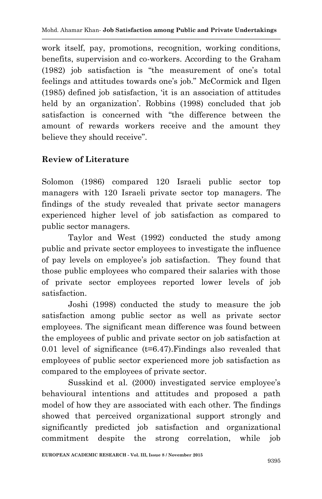work itself, pay, promotions, recognition, working conditions, benefits, supervision and co-workers. According to the Graham (1982) job satisfaction is "the measurement of one"s total feelings and attitudes towards one's job." McCormick and Ilgen (1985) defined job satisfaction, "it is an association of attitudes held by an organization'. Robbins (1998) concluded that job satisfaction is concerned with "the difference between the amount of rewards workers receive and the amount they believe they should receive".

### **Review of Literature**

Solomon (1986) compared 120 Israeli public sector top managers with 120 Israeli private sector top managers. The findings of the study revealed that private sector managers experienced higher level of job satisfaction as compared to public sector managers.

Taylor and West (1992) conducted the study among public and private sector employees to investigate the influence of pay levels on employee"s job satisfaction. They found that those public employees who compared their salaries with those of private sector employees reported lower levels of job satisfaction.

Joshi (1998) conducted the study to measure the job satisfaction among public sector as well as private sector employees. The significant mean difference was found between the employees of public and private sector on job satisfaction at 0.01 level of significance  $(t=6.47)$ . Findings also revealed that employees of public sector experienced more job satisfaction as compared to the employees of private sector.

Susskind et al. (2000) investigated service employee's behavioural intentions and attitudes and proposed a path model of how they are associated with each other. The findings showed that perceived organizational support strongly and significantly predicted job satisfaction and organizational commitment despite the strong correlation, while job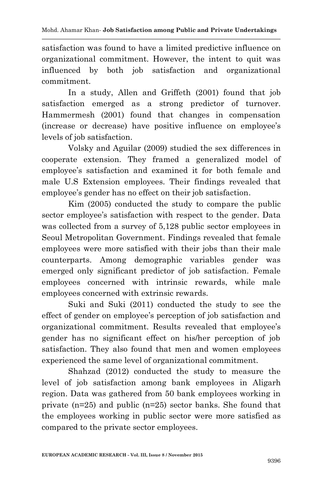satisfaction was found to have a limited predictive influence on organizational commitment. However, the intent to quit was influenced by both job satisfaction and organizational commitment.

In a study, Allen and Griffeth (2001) found that job satisfaction emerged as a strong predictor of turnover. Hammermesh (2001) found that changes in compensation (increase or decrease) have positive influence on employee"s levels of job satisfaction.

Volsky and Aguilar (2009) studied the sex differences in cooperate extension. They framed a generalized model of employee's satisfaction and examined it for both female and male U.S Extension employees. Their findings revealed that employee's gender has no effect on their job satisfaction.

Kim (2005) conducted the study to compare the public sector employee's satisfaction with respect to the gender. Data was collected from a survey of  $5,128$  public sector employees in Seoul Metropolitan Government. Findings revealed that female employees were more satisfied with their jobs than their male counterparts. Among demographic variables gender was emerged only significant predictor of job satisfaction. Female employees concerned with intrinsic rewards, while male employees concerned with extrinsic rewards.

Suki and Suki (2011) conducted the study to see the effect of gender on employee"s perception of job satisfaction and organizational commitment. Results revealed that employee"s gender has no significant effect on his/her perception of job satisfaction. They also found that men and women employees experienced the same level of organizational commitment.

Shahzad (2012) conducted the study to measure the level of job satisfaction among bank employees in Aligarh region. Data was gathered from 50 bank employees working in private  $(n=25)$  and public  $(n=25)$  sector banks. She found that the employees working in public sector were more satisfied as compared to the private sector employees.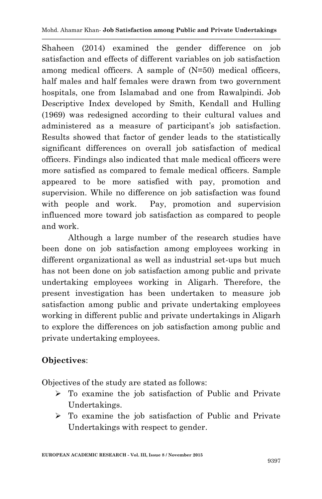Shaheen (2014) examined the gender difference on job satisfaction and effects of different variables on job satisfaction among medical officers. A sample of (N=50) medical officers, half males and half females were drawn from two government hospitals, one from Islamabad and one from Rawalpindi. Job Descriptive Index developed by Smith, Kendall and Hulling (1969) was redesigned according to their cultural values and administered as a measure of participant's job satisfaction. Results showed that factor of gender leads to the statistically significant differences on overall job satisfaction of medical officers. Findings also indicated that male medical officers were more satisfied as compared to female medical officers. Sample appeared to be more satisfied with pay, promotion and supervision. While no difference on job satisfaction was found with people and work. Pay, promotion and supervision influenced more toward job satisfaction as compared to people and work.

Although a large number of the research studies have been done on job satisfaction among employees working in different organizational as well as industrial set-ups but much has not been done on job satisfaction among public and private undertaking employees working in Aligarh. Therefore, the present investigation has been undertaken to measure job satisfaction among public and private undertaking employees working in different public and private undertakings in Aligarh to explore the differences on job satisfaction among public and private undertaking employees.

### **Objectives**:

Objectives of the study are stated as follows:

- $\triangleright$  To examine the job satisfaction of Public and Private Undertakings.
- $\triangleright$  To examine the job satisfaction of Public and Private Undertakings with respect to gender.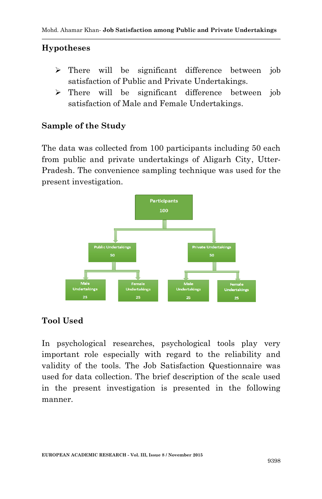### **Hypotheses**

- $\triangleright$  There will be significant difference between job satisfaction of Public and Private Undertakings.
- $\triangleright$  There will be significant difference between job satisfaction of Male and Female Undertakings.

### **Sample of the Study**

The data was collected from 100 participants including 50 each from public and private undertakings of Aligarh City, Utter-Pradesh. The convenience sampling technique was used for the present investigation.



### **Tool Used**

In psychological researches, psychological tools play very important role especially with regard to the reliability and validity of the tools. The Job Satisfaction Questionnaire was used for data collection. The brief description of the scale used in the present investigation is presented in the following manner.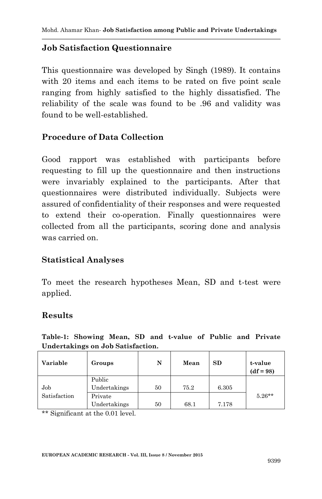#### **Job Satisfaction Questionnaire**

This questionnaire was developed by Singh (1989). It contains with 20 items and each items to be rated on five point scale ranging from highly satisfied to the highly dissatisfied. The reliability of the scale was found to be .96 and validity was found to be well-established.

### **Procedure of Data Collection**

Good rapport was established with participants before requesting to fill up the questionnaire and then instructions were invariably explained to the participants. After that questionnaires were distributed individually. Subjects were assured of confidentiality of their responses and were requested to extend their co-operation. Finally questionnaires were collected from all the participants, scoring done and analysis was carried on.

#### **Statistical Analyses**

To meet the research hypotheses Mean, SD and t-test were applied.

#### **Results**

**Table-1: Showing Mean, SD and t-value of Public and Private Undertakings on Job Satisfaction.**

| Variable            | Groups                  | N  | Mean | SD    | t-value<br>$(df = 98)$ |
|---------------------|-------------------------|----|------|-------|------------------------|
| Job<br>Satisfaction | Public<br>Undertakings  | 50 | 75.2 | 6.305 |                        |
|                     | Private<br>Undertakings | 50 | 68.1 | 7.178 | $5.26**$               |

\*\* Significant at the 0.01 level.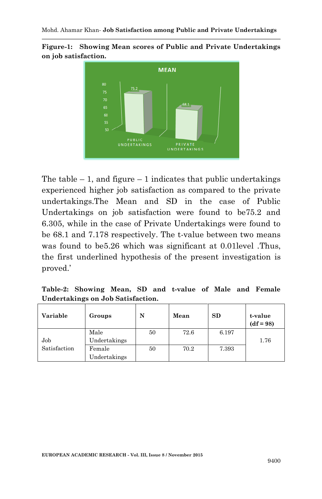



The table  $-1$ , and figure  $-1$  indicates that public undertakings experienced higher job satisfaction as compared to the private undertakings.The Mean and SD in the case of Public Undertakings on job satisfaction were found to be75.2 and 6.305, while in the case of Private Undertakings were found to be 68.1 and 7.178 respectively. The t-value between two means was found to be5.26 which was significant at 0.01 level .Thus, the first underlined hypothesis of the present investigation is proved.'

**Table-2: Showing Mean, SD and t-value of Male and Female Undertakings on Job Satisfaction.**

| Variable     | Groups       | N  | Mean | <b>SD</b> | t-value<br>$(df = 98)$ |
|--------------|--------------|----|------|-----------|------------------------|
|              | Male         | 50 | 72.6 | 6.197     |                        |
| Job          | Undertakings |    |      |           | 1.76                   |
| Satisfaction | Female       | 50 | 70.2 | 7.393     |                        |
|              | Undertakings |    |      |           |                        |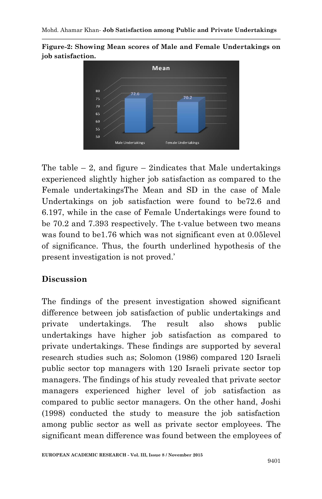**Figure-2: Showing Mean scores of Male and Female Undertakings on job satisfaction.**



The table  $-2$ , and figure  $-2$  indicates that Male undertakings experienced slightly higher job satisfaction as compared to the Female undertakingsThe Mean and SD in the case of Male Undertakings on job satisfaction were found to be72.6 and 6.197, while in the case of Female Undertakings were found to be 70.2 and 7.393 respectively. The t-value between two means was found to be1.76 which was not significant even at 0.05level of significance. Thus, the fourth underlined hypothesis of the present investigation is not proved."

# **Discussion**

The findings of the present investigation showed significant difference between job satisfaction of public undertakings and private undertakings. The result also shows public undertakings have higher job satisfaction as compared to private undertakings. These findings are supported by several research studies such as; Solomon (1986) compared 120 Israeli public sector top managers with 120 Israeli private sector top managers. The findings of his study revealed that private sector managers experienced higher level of job satisfaction as compared to public sector managers. On the other hand, Joshi (1998) conducted the study to measure the job satisfaction among public sector as well as private sector employees. The significant mean difference was found between the employees of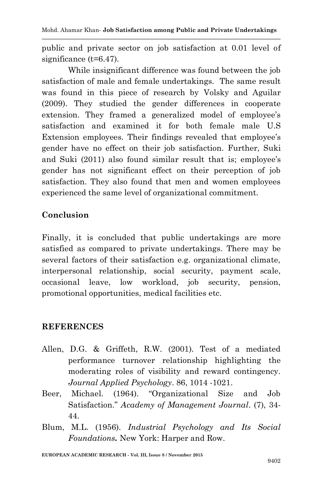public and private sector on job satisfaction at 0.01 level of significance (t=6.47).

While insignificant difference was found between the job satisfaction of male and female undertakings. The same result was found in this piece of research by Volsky and Aguilar (2009). They studied the gender differences in cooperate extension. They framed a generalized model of employee's satisfaction and examined it for both female male U.S Extension employees. Their findings revealed that employee's gender have no effect on their job satisfaction. Further, Suki and Suki (2011) also found similar result that is; employee's gender has not significant effect on their perception of job satisfaction. They also found that men and women employees experienced the same level of organizational commitment.

## **Conclusion**

Finally, it is concluded that public undertakings are more satisfied as compared to private undertakings. There may be several factors of their satisfaction e.g. organizational climate, interpersonal relationship, social security, payment scale, occasional leave, low workload, job security, pension, promotional opportunities, medical facilities etc.

### **REFERENCES**

- Allen, D.G. & Griffeth, R.W. (2001). Test of a mediated performance turnover relationship highlighting the moderating roles of visibility and reward contingency. *Journal Applied Psychology*. 86, 1014 -1021.
- Beer, Michael. (1964). "Organizational Size and Job Satisfaction." *Academy of Management Journal*. (7), 34- 44.
- Blum, M.L. (1956). *Industrial Psychology and Its Social Foundations.* New York: Harper and Row.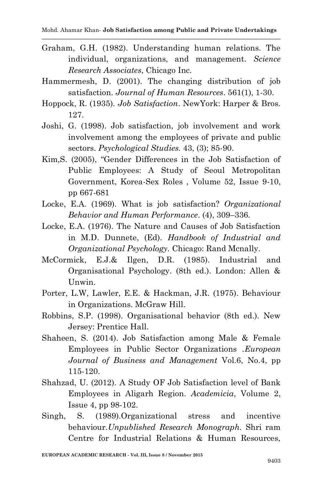- Graham, G.H. (1982). Understanding human relations. The individual, organizations, and management. *Science Research Associates*, Chicago Inc.
- Hammermesh, D. (2001). The changing distribution of job satisfaction. *Journal of Human Resources*. 561(1), 1-30.
- Hoppock, R. (1935). *Job Satisfaction*. NewYork: Harper & Bros. 127.
- Joshi, G. (1998). Job satisfaction, job involvement and work involvement among the employees of private and public sectors. *Psychological Studies.* 43, (3); 85-90.
- Kim,S. (2005), "Gender Differences in the Job Satisfaction of Public Employees: A Study of Seoul Metropolitan Government, Korea-Sex Roles , Volume 52, Issue 9-10, pp 667-681
- Locke, E.A. (1969). What is job satisfaction? *Organizational Behavior and Human Performance*. (4), 309–336*.*
- Locke, E.A. (1976). The Nature and Causes of Job Satisfaction in M.D. Dunnete, (Ed). *Handbook of Industrial and Organizational Psychology.* Chicago: Rand Mcnally.
- McCormick, E.J.& Ilgen, D.R. (1985). Industrial and Organisational Psychology. (8th ed.). London: Allen & Unwin.
- Porter, L.W, Lawler, E.E. & Hackman, J.R. (1975). Behaviour in Organizations. McGraw Hill.
- Robbins, S.P. (1998). Organisational behavior (8th ed.). New Jersey: Prentice Hall.
- Shaheen, S. (2014). Job Satisfaction among Male & Female Employees in Public Sector Organizations .*European Journal of Business and Management* Vol.6, No.4, pp 115-120.
- Shahzad, U. (2012). A Study OF Job Satisfaction level of Bank Employees in Aligarh Region. *Academicia*, Volume 2, Issue 4, pp 98-102.
- Singh, S. (1989).Organizational stress and incentive behaviour.*Unpublished Research Monograph.* Shri ram Centre for Industrial Relations & Human Resources,